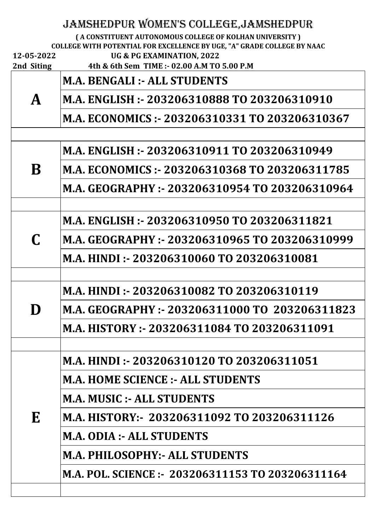| 12-05-2022<br>2nd Siting | JAMSHEDPUR WOMEN'S COLLEGE, JAMSHEDPUR<br>(A CONSTITUENT AUTONOMOUS COLLEGE OF KOLHAN UNIVERSITY)<br>COLLEGE WITH POTENTIAL FOR EXCELLENCE BY UGE, "A" GRADE COLLEGE BY NAAC<br>UG & PG EXAMINATION, 2022<br>4th & 6th Sem TIME :- 02.00 A.M TO 5.00 P.M |
|--------------------------|----------------------------------------------------------------------------------------------------------------------------------------------------------------------------------------------------------------------------------------------------------|
|                          | <b>M.A. BENGALI :- ALL STUDENTS</b>                                                                                                                                                                                                                      |
| $\mathbf{A}$             | M.A. ENGLISH :- 203206310888 TO 203206310910                                                                                                                                                                                                             |
|                          | M.A. ECONOMICS :- 203206310331 TO 203206310367                                                                                                                                                                                                           |
|                          |                                                                                                                                                                                                                                                          |
|                          | M.A. ENGLISH :- 203206310911 TO 203206310949                                                                                                                                                                                                             |
| B                        | M.A. ECONOMICS :- 203206310368 TO 203206311785                                                                                                                                                                                                           |
|                          | M.A. GEOGRAPHY :- 203206310954 TO 203206310964                                                                                                                                                                                                           |
|                          |                                                                                                                                                                                                                                                          |
| $\mathbf C$              | M.A. ENGLISH :- 203206310950 TO 203206311821                                                                                                                                                                                                             |
|                          | M.A. GEOGRAPHY :- 203206310965 TO 203206310999                                                                                                                                                                                                           |
|                          | M.A. HINDI :- 203206310060 TO 203206310081                                                                                                                                                                                                               |
|                          |                                                                                                                                                                                                                                                          |
| D                        | M.A. HINDI :- 203206310082 TO 203206310119                                                                                                                                                                                                               |
|                          | M.A. GEOGRAPHY: - 203206311000 TO 203206311823                                                                                                                                                                                                           |
|                          | M.A. HISTORY :- 203206311084 TO 203206311091                                                                                                                                                                                                             |
|                          |                                                                                                                                                                                                                                                          |
|                          | M.A. HINDI :- 203206310120 TO 203206311051                                                                                                                                                                                                               |
|                          | <b>M.A. HOME SCIENCE :- ALL STUDENTS</b>                                                                                                                                                                                                                 |
|                          | <b>M.A. MUSIC :- ALL STUDENTS</b>                                                                                                                                                                                                                        |

|   | PHALIMODIU LADD D'I UDDI LO                       |
|---|---------------------------------------------------|
| E | M.A. HISTORY:- 203206311092 TO 203206311126       |
|   | M.A. ODIA :- ALL STUDENTS                         |
|   | M.A. PHILOSOPHY:- ALL STUDENTS                    |
|   | M.A. POL. SCIENCE :- 203206311153 TO 203206311164 |
|   |                                                   |